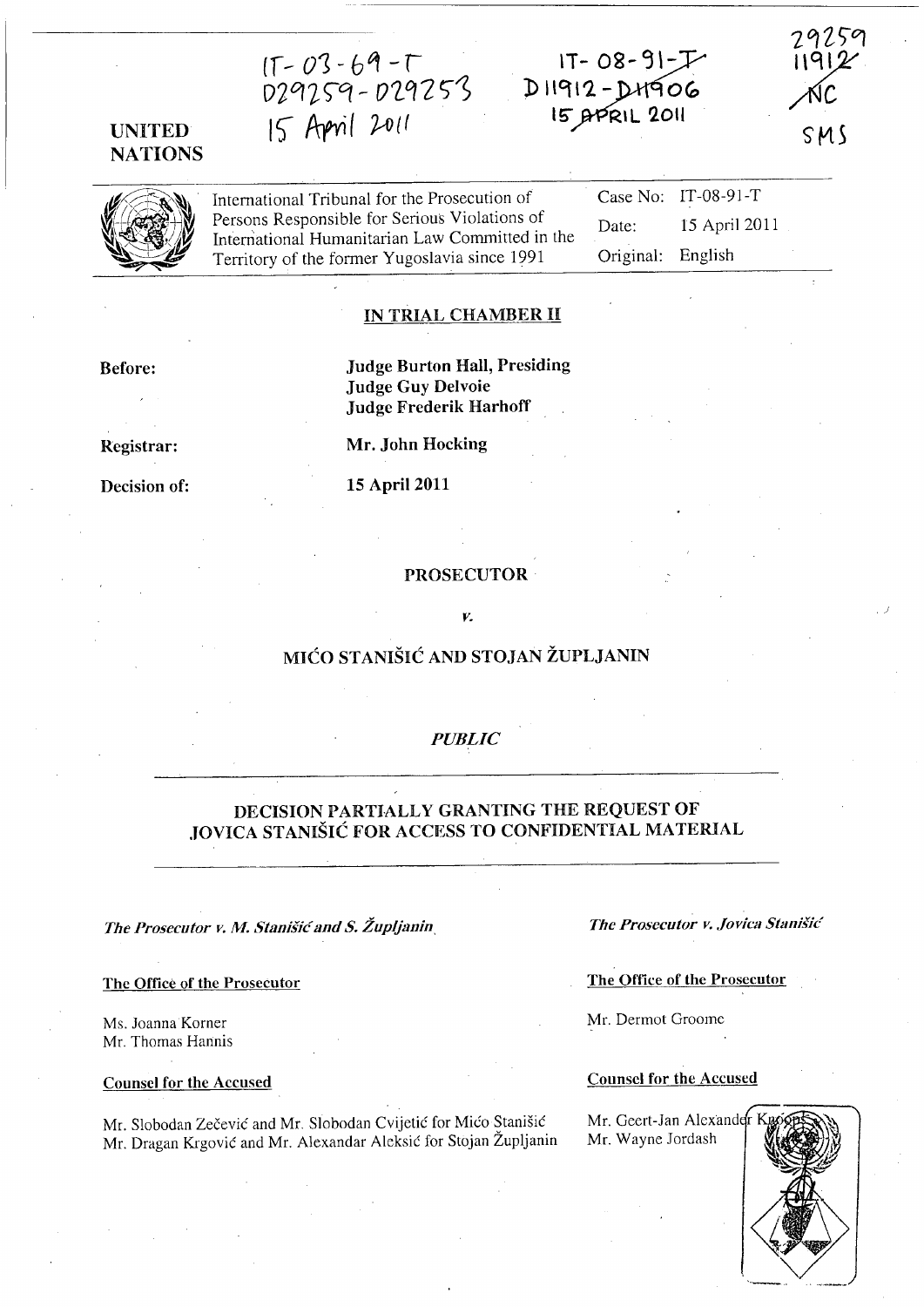If- *01- bt1* -r  $29259 - 029253$ I S- Prrvi ( *'jA)* {f

# UNITED· **NATIONS**

International Tribunal for the Prosecution of Persons Responsible for Serious Violations of International Humanitarian Law Committed in the Territory of the former Yugoslavia since 1991 Case No: IT-08-91-T Date: 15 April 2011 Original: English

 $IT - 08 - 91 - F$ 

D11912-DH906<br>15 APRIL 2011

#### IN TRIAL CHAMBER II

Before:

Registrar:

Decision of:

Judge Burton Hall, Presiding Judge Guy Delvoie Judge Frederik Harhoff

Mr. John Hocking

15 April 2011

#### PROSECUTOR

# *v.*

# MICO STANISIC AND STOJAN ZUPLJANIN

#### *PUBLIC*

### DECISION PARTIALLY GRANTING THE REQUEST OF JOVICA STANISIC FOR ACCESS TO CONFIDENTIAL MATERIAL

*The Prosecutor v. M. Stanišić and S. Župljanin*, The Prosecutor v. Jovica Stanišić

Mr. Thomas Hannis

Mr. Slobodan Zečević and Mr. Slobodan Cvijetić for Mićo Stanišić Mr. Geert-Jan Alexand r H<br>Mr. Dragan Krgović and Mr. Alexandar Aleksić for Stojan Župljanin Mr. Wayne Jordash Mr. Dragan Krgović and Mr. Alexandar Aleksić for Stojan Župljanin

The Office of the Prosecutor The Office of the Prosecutor

Ms. Joanna Korner Mr. Dermot Groome Mr. Dermot Groome

# Counsel for the Accused Counsel for the Accused



SMS

29259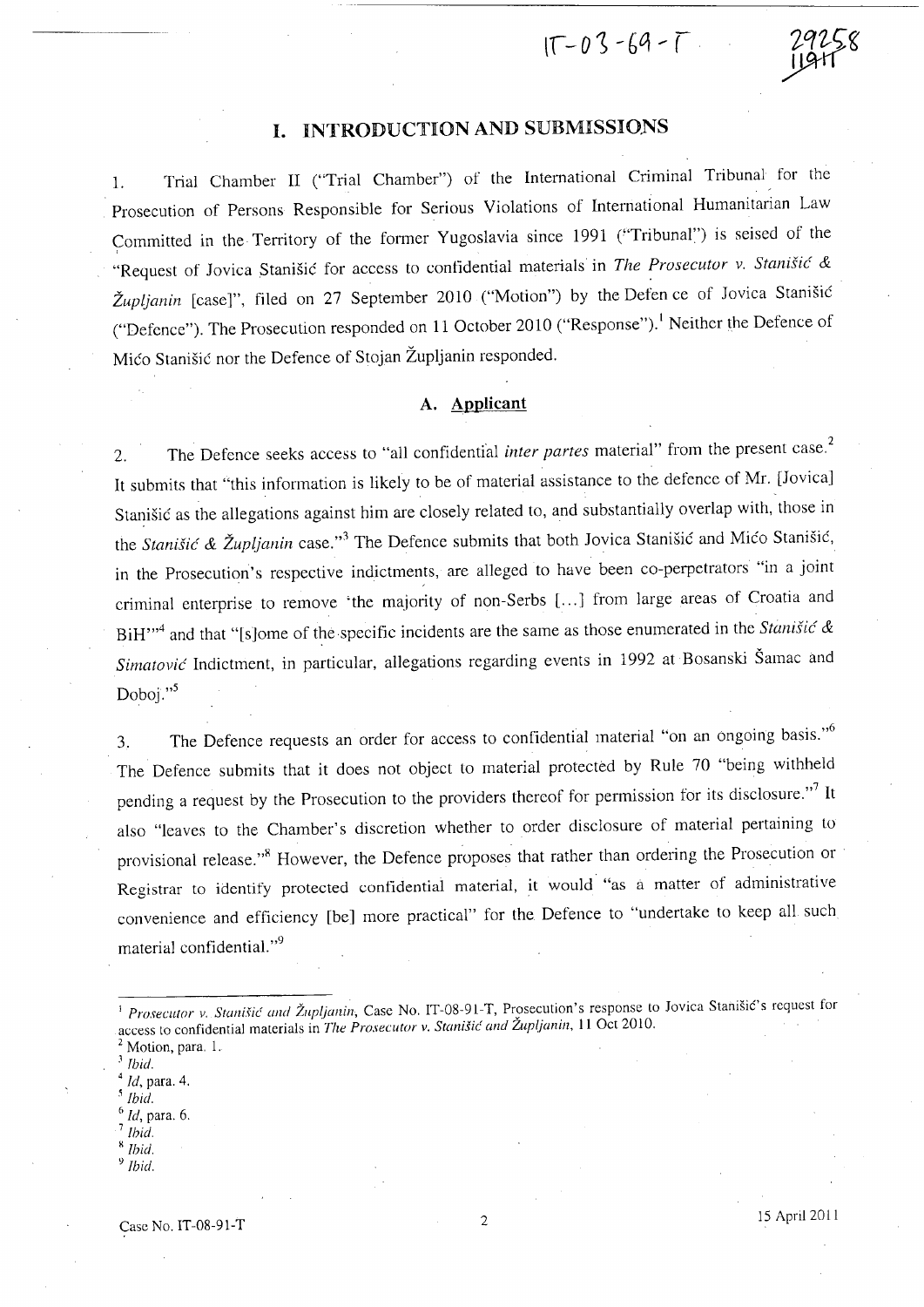$1T - 03 - 69 - T$ 

# I. INTRODUCTION AND SUBMISSIONS

1. Trial Chamber II ("Trial Chamber") of the International Criminal Tribunal for the Prosecution of Persons Responsible for Serious Violations of International Humanitarian Law Committed in the Territory of the former Yugoslavia since 1991 ("Tribunal") is seised of the "Request of Jovica StaniSic for access to contidential materials in *The Prosecutor v, Stanisic* & *Zupijanin* [case]", filed on 27 September 2010 ("Motion") by the Defen ce of Jovica Stanisic ("Defence"). The Prosecution responded on 11 October 2010 ("Response"). I Neither the Defence of Mico Stanisic nor the Defence of Stojan Zupljanin responded.

### **A. Applicant**

2, The Defence seeks access to "all confidential *inter partes* material" from the present case,2 It submits that "this information is likely to be of material assistance to the defence of Mr. [Jovica] Stanisic as the allegations against him are closely related to, and substantially overlap with, those in the *Stanišić & Župljanin* case."<sup>3</sup> The Defence submits that both Jovica Stanišić and Mićo Stanišić, in the Prosecution's respective indictments, are alleged to have been co-perpetrators "in a joint criminal enterprise to remove 'the majority of non-Serbs [...] from large areas of Croatia and BiH,,,4 and that "[s]ome of the specific incidents are the same as those enumerated in the *Stanisic* & *Simatovic* Indictment, in particular, allegations regarding events in 1992 at Bosanski Samac and Doboj."<sup>5</sup>

3. The Defence requests an order for access to confidential material "on an ongoing basis."<sup>6</sup> The Defence submits that it does not object to material protected by Rule 70 "being withheld pending a request by the Prosecution to the providers thereof for permission for its disclosure."<sup>7</sup> It also "leaves to the Chamber's discretion whether to order disclosure of material pertaining to provisional release."<sup>8</sup> However, the Defence proposes that rather than ordering the Prosecution or Registrar to identify protected confidential material, it would "as a matter of administrative convenience and efficiency [be] more practical" for the Defence to "undertake to keep all such material confidential."<sup>9</sup>

- *3 {bid.*
- <sup>4</sup>*Id,* para. 4,
- *, Ibid.*
- <sup>6</sup>*Id,* para. 6.
- <sup>7</sup>*Ibid.*
- <sup>H</sup>*{bid,*  <sup>y</sup>*Ibid,*

*Prosecutor v, Stanišić and Župljanin*, Case No, IT-08-91-T, Prosecution's response to Jovica Stanišić's request for access to confidential materials *in'Tlle Prosecutor* v, *StaniSic' and Zup!ianill,* 11 Oct 2010,

Motion, para. 1.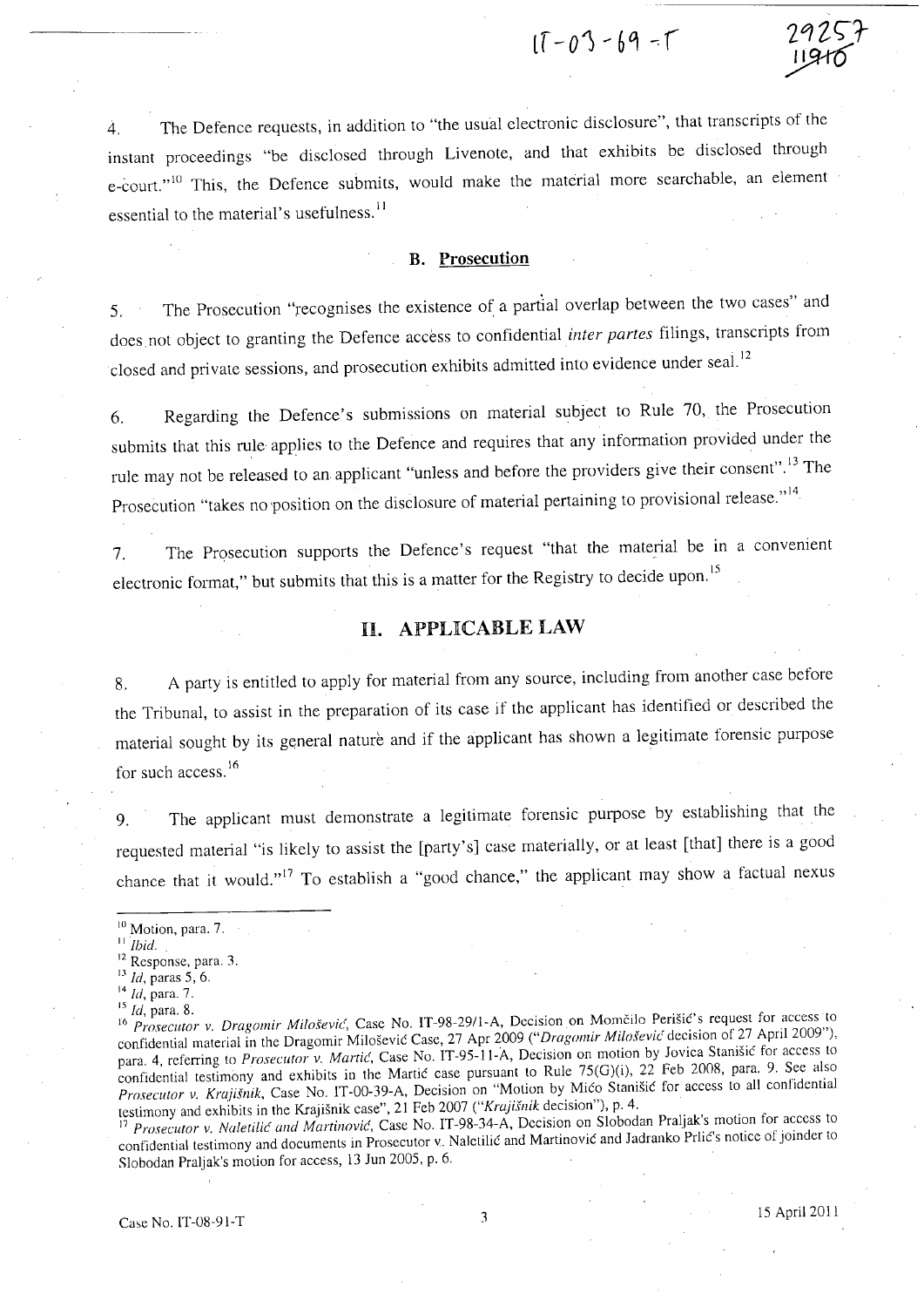$17 - 03 - 69 - 17$ 

4. The Defence requests, in addition to "the usual electronic disclosure", that transcripts of the instant proceedings "be disclosed through Livenote, and that exhibits be disclosed through e-court."<sup>10</sup> This, the Defence submits, would make the material more searchable, an element essential to the material's usefulness.<sup>11</sup>

#### **B. Prosecution**

5. The Prosecution "recognises the existence of a partial overlap between the two cases" and does not object to granting the Defence access to confidential *inter partes* filings, transcripts from closed and private sessions, and prosecution exhibits admitted into evidence under seal.<sup>12</sup>

6. Regarding the Defence's submissions on material subject to Rule 70, the Prosecution submits that this rule applies to the Defence and requires that any information provided under the rule may not be released to an applicant "unless and before the providers give their consent".<sup>13</sup> The Prosecution "takes no position on the disclosure of material pertaining to provisional release."<sup>14</sup>

7. The Prosecution supports the Defence's request "that the material be in a convenient electronic format," but submits that this is a matter for the Registry to decide upon.<sup>15</sup>

# **U. APPLICABLE LAW**

8. A party is entitled to apply for material from any source, including from another case before the Tribunal, to assist in the preparation of its case if the applicant has identified or described the material sought by its general nature and if the applicant has shown a legitimate forensic purpose for such access.<sup>16</sup>

9. The applicant must demonstrate a legitimate forensic purpose by establishing that the requested material "is likely to assist the [party's] case materially, or at least [that] there is a good chance that it would."<sup>17</sup> To establish a "good chance," the applicant may show a factual nexus

<sup>17</sup>*Prosecutor* v. *Nu/eti/ie and Martil1ovie,* Case No. IT-98-34-A, Decision on Slobodan Praljak's motion for access to confidential testimony and documents in Prosecutor v. Naletilic and Martinovic and Iadranko Prlic's notice of joinder to Slobodan Praljak's motion for access, 13 Iun 2005, p. 6.

 $10$  Motion, para. 7.

<sup>11</sup>*Ibid.* 12 .

<sup>&</sup>lt;sup>12</sup> Response, para. 3.

<sup>&</sup>lt;sup>13</sup> *Id*, paras 5, 6.

<sup>14</sup>*Id,* para. 7.

<sup>15</sup>*Id,* para. 8.

<sup>16</sup> Prosecutor v. *Dragomir Milošević*, Case No. IT-98-29/1-A, Decision on Momčilo Perišić's request for access to confidential material in the Dragomir Miloševic Case, 27 Apr 2009 *("Dragomir Miloševic* decision of 27 April 2009"), para. 4, referring to *Prosecutor v. Martic*, Case No. IT-95-11-A, Decision on motion by Jovica Stanišic for access to confidential testimony and exhibits in the Martic case pursuant to Rule 75(G)(i), 22 Feb 2008, para. 9. See also *Prosecutor* v. *Krojisnik,* Case No. IT-OO-39-A, Decision on "Motion by Mico Stanisic for access to all confidential testimony and exhibits in the Krajisnik case", 21 Feb 2007 *("Krajisnik* decision"), p. 4.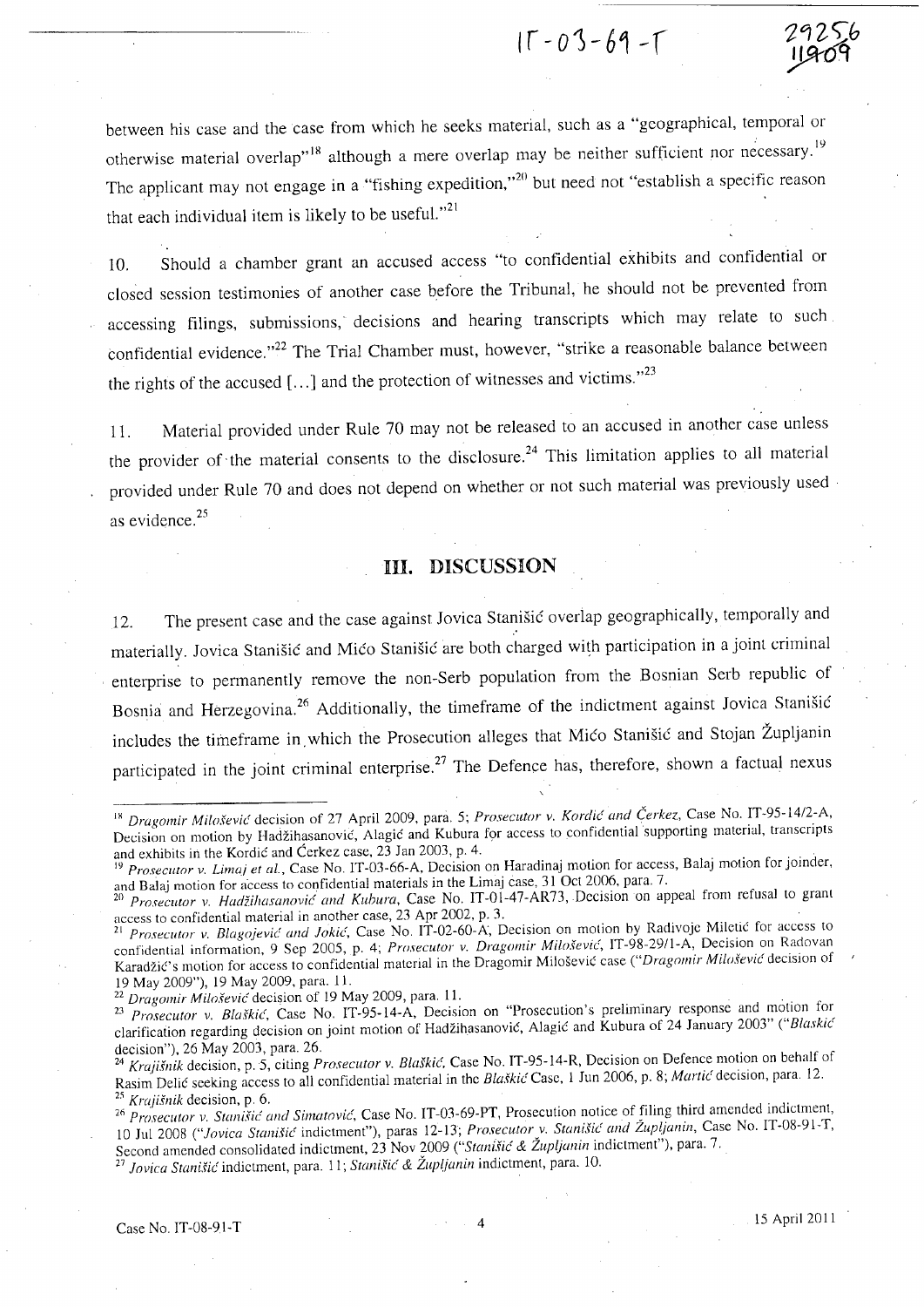$15 - 03 - 69 - 1$ 

between his case and the case from which he seeks material, such as a "geographical, temporal or otherwise material overlap"<sup>18</sup> although a mere overlap may be neither sufficient nor necessary.<sup>19</sup> The applicant may not engage in a "fishing expedition,"<sup>20</sup> but need not "establish a specific reason that each individual item is likely to be useful. $n^{21}$ 

10. Should a chamber grant an accused access "to confidential exhibits and confidential or closed session testimonies of another case before the Tribunal, he should not be prevented from accessing filings, submissions, decisions and hearing transcripts which may relate to such. confidential evidence."<sup>22</sup> The Trial Chamber must, however, "strike a reasonable balance between the rights of the accused  $[...]$  and the protection of witnesses and victims."<sup>23</sup>

11. Material provided under Rule 70 may not be released to an accused in another case unless the provider of the material consents to the disclosure.<sup>24</sup> This limitation applies to all material provided under Rule 70 and does not depend on whether or not such material was previously used as evidence.<sup>25</sup>

### **HI. DISCUSSION**

12. The present case and the case against Jovica Stanisic overlap geographically, temporally and materially. Jovica Stanišić and Mićo Stanišić are both charged with participation in a joint criminal enterprise to permanently remove the non-Serb population from the Bosnian Serb republic of Bosnia and Herzegovina.<sup>26</sup> Additionally, the timeframe of the indictment against Jovica Stanišić includes the timeframe in which the Prosecution alleges that Mico Stanisic and Stojan Župljanin participated in the joint criminal enterprise.<sup>27</sup> The Defence has, therefore, shown a factual nexus

<sup>&</sup>lt;sup>18</sup> Dragomir Milošević decision of 27 April 2009, para. 5; *Prosecutor v. Kordić and Čerkez*, Case No. IT-95-14/2-A, Decision on motion by Hadžihasanovic, Alagic and Kubura for access to confidential supporting material, transcripts and exhibits in the Kordic and Cerkez case, 23 Jan 2003, p. 4.

<sup>&</sup>lt;sup>19</sup> Prosecutor v. Limaj et al., Case No. IT-03-66-A, Decision on Haradinaj motion for access, Balaj motion for joinder, and Balaj motion for access to confidential materials in the Limaj case, 31 Qct 2006, para. 7.

*<sup>20</sup> Proseclltor* v. *Hadii/zasanovic and Kuhura,* Case No. IT-Oi-47-AR73,Dccisionon appeal from refusal to grant access to confidential material in another case, 23 Apr 2002, p. 3. .

<sup>&</sup>lt;sup>21</sup> Prosecutor v. Blagojević and Jokić, Case No. IT-02-60-A, Decision on motion by Radivoje Miletic for access to confidential information, 9 Sep 2005, p. 4; *Prosecutor v. Dragomir Milošević*, IT-98-29/l-A, Decision on Radovan Karadzie's motion for access to confidential material in the Dragomir Milosevic case *("Dragomir Miio.fevic'* decision of 19 May 2009"), 19 May 2009, para. 11.

<sup>&</sup>lt;sup>22</sup> Dragomir Milošević decision of 19 May 2009, para. 11.

*<sup>23</sup> Prosecutor* v. *Blaskic',* Case No. IT-95-14-A, Decision on "Prosecution's preliminary response and motion for clarification regarding decision on joint motion of Hadžihasanovic, Alagic and Kubura of 24 January 2003" *("Blaskic* decision"), 26 May 2003, para. 26.

*<sup>24</sup> Kraji.fllik* decision, p. 5, citing *Prosecutor* v. *Blaskic',* Case No. IT-95-14-R, Decision on Defence motion on behalf of Rasim Delic seeking access to all confidential material in the *Blaskic* Case, 1 Jun 2006, p. 8; *Martic* decision, para. 12. <sup>3</sup> *Krajišnik* decision, p. 6.

<sup>&</sup>lt;sup>26</sup> Prosecutor v. Stanišić and Simatović, Case No. IT-03-69-PT, Prosecution notice of filing third amended indictment, 10 Jul 2008 *("JOViCCI Stallisic'* indictment"), paras 12-13; *Prosecutor* v. *Stanisic' and Zupijanin,* Case No. IT-08-91-T, Second amended consolidated indictment, 23 Nov 2009 *("Stanišić & Župljanin* indictment"), para. 7.

<sup>&</sup>lt;sup>27</sup> Jovica Stanišić indictment, para. 11; Stanišić & Župljanin indictment, para. 10.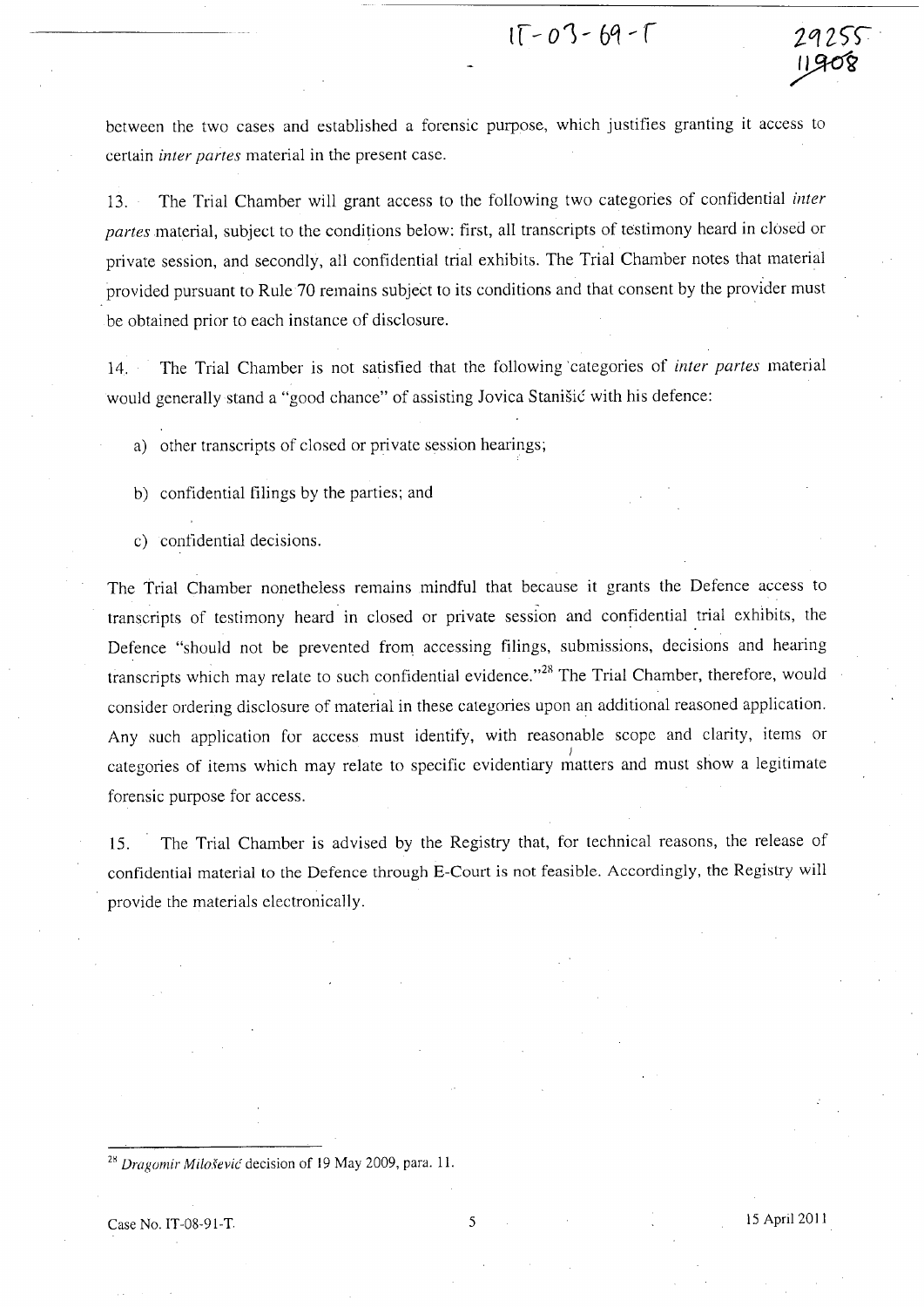$15 - 03 - 69 - 17$ 

between the two cases and established a forensic purpose, which justifies granting it access to certain *inter partes* material in the present case.

13. The Trial Chamber will grant access to the following two categories of confidential *inter partes* material, subject to the conditions below: first, all transcripts of testimony heard in closed or private session, and secondly, all confidential trial exhibits. The Trial Chamber notes that material provided pursuant to Rule 70 remains subject to its conditions and that consent by the provider must be obtained prior to each instance of disclosure.

14. The Trial Chamber is not satisfied that the following 'categories of *inter partes* material would generally stand a "good chance" of assisting Jovica Stanišić with his defence:

a) other transcripts of closed or private session hearings;

b) confidential filings by the parties; and

c) contidential decisions.

The Trial Chamber nonetheless remains mindful that because it grants the Defence access to transcripts of testimony heard in closed or private session and confidential trial exhibits, the Defence "should not be prevented from accessing filings, submissions, decisions and hearing transcripts which may relate to such confidential evidence."<sup>28</sup> The Trial Chamber, therefore, would consider ordering disclosure of material in these categories upon an additional reasoned application. Any such application for access must identify, with reasonable scope and clarity, items or ) . categories of items which may relate to specific evidentiary matters and must show a legitimate forensic purpose for access.

15. The Trial Chamber is advised by the Registry that, for technical reasons, the release of confidential material to the Defence through E-Court is not feasible. Accordingly, the Registry will provide the materials electronically.

<sup>28</sup> Dragomir Milo.šević decision of 19 May 2009, para. 11.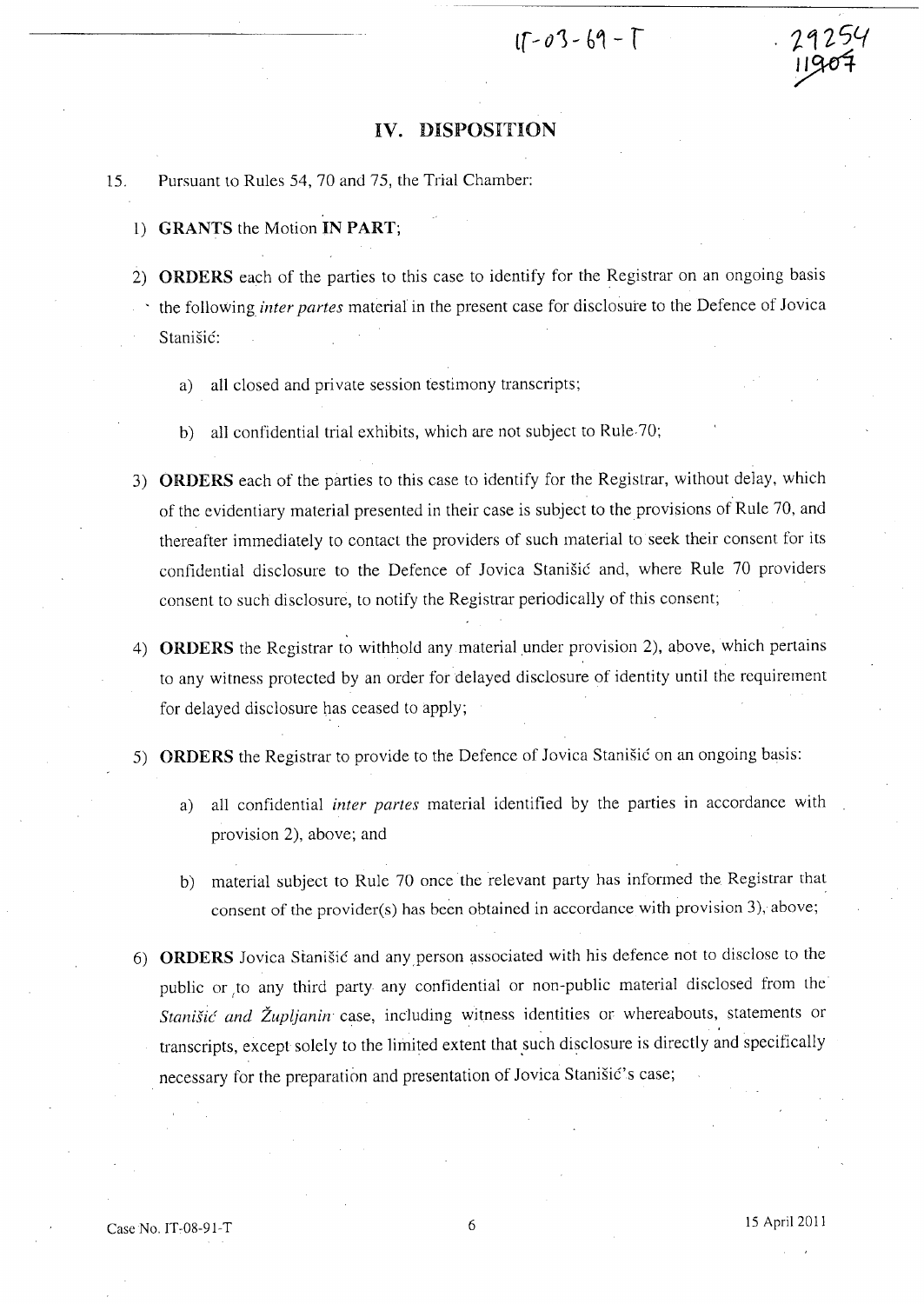$15 - 03 - 69 - 1$ 

#### **IV.** DISPOSITION

15. Pursuant to Rules 54, 70 and 75, the Trial Chamber:

- 1) GRANTS the Motion IN PART;
- 2) ORDERS each of the parties to this case to identify for the Registrar on an ongoing basis , the following *inter partes* material in the present case for disclosure to the Defence of Jovica Stanisic:
	- a) all closed and private session testimony transcripts;
	- b) all confidential trial exhibits, which are not subject to Rule. 70;
- 3) ORDERS each of the parties to this case to identify for the Registrar, without delay, which of the evidentiary material presented in their case is subject to the provisions of Rule 70, and thereafter immediately to contact the providers of such material to seek their consent for its confidential disclosure to the Defence of Jovica Stanisic and, where Rule 70 providers consent to such disclosure, to notify the Registrar periodically of this consent;
- 4) ORDERS the Registrar to withhold any material under provision 2), above, which pertains to any witness protected by an order for delayed disclosure of identity until the requirement for delayed disclosure has ceased to apply;
- 5) ORDERS the Registrar to provide to the Defence of Jovica Stanisic on an ongoing basis:
	- a) all confidential *inter partes* material identified by the parties in accordance with provision 2), above; and
	- b) material subject to Rule 70 once the relevant party has informed the Registrar that consent of the provider(s) has been obtained in accordance with provision 3), above;
- 6) ORDERS Jovica Stanišić and any person associated with his defence not to disclose to the public or to any third party any confidential or non-public material disclosed from the Stanišić and Župljanin case, including witness identities or whereabouts, statements or transcripts, except solely to the limited extent that such disclosure is directly and specifically necessary for the preparation and presentation of Jovica Stanisic's case;